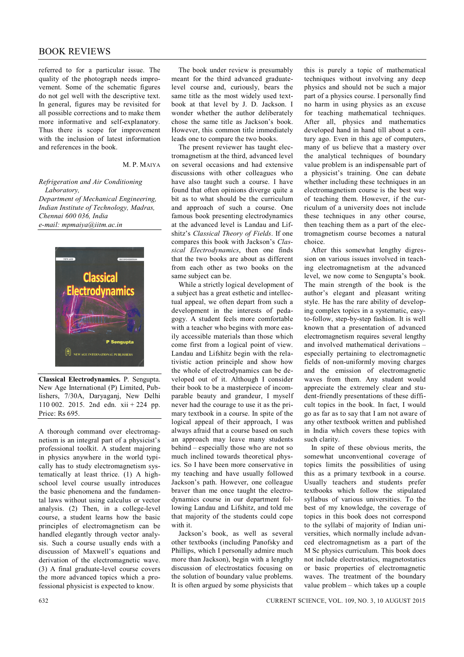## BOOK REVIEWS

referred to for a particular issue. The quality of the photograph needs improvement. Some of the schematic figures do not gel well with the descriptive text. In general, figures may be revisited for all possible corrections and to make them more informative and self-explanatory. Thus there is scope for improvement with the inclusion of latest information and references in the book.

## M. P. MAIYA

*Refrigeration and Air Conditioning Laboratory,*

*Department of Mechanical Engineering, Indian Institute of Technology, Madras, Chennai 600 036, India e-mail: mpmaiya@iitm.ac.in*



**Classical Electrodynamics.** P. Sengupta. New Age International (P) Limited, Publishers, 7/30A, Daryaganj, New Delhi 110 002. 2015. 2nd edn. xii + 224 pp. Price: Rs 695.

A thorough command over electromagnetism is an integral part of a physicist's professional toolkit. A student majoring in physics anywhere in the world typically has to study electromagnetism systematically at least thrice. (1) A highschool level course usually introduces the basic phenomena and the fundamental laws without using calculus or vector analysis. (2) Then, in a college-level course, a student learns how the basic principles of electromagnetism can be handled elegantly through vector analysis. Such a course usually ends with a discussion of Maxwell's equations and derivation of the electromagnetic wave. (3) A final graduate-level course covers the more advanced topics which a professional physicist is expected to know.

The book under review is presumably meant for the third advanced graduatelevel course and, curiously, bears the same title as the most widely used textbook at that level by J. D. Jackson. I wonder whether the author deliberately chose the same title as Jackson's book. However, this common title immediately leads one to compare the two books.

The present reviewer has taught electromagnetism at the third, advanced level on several occasions and had extensive discussions with other colleagues who have also taught such a course. I have found that often opinions diverge quite a bit as to what should be the curriculum and approach of such a course. One famous book presenting electrodynamics at the advanced level is Landau and Lifshitz's *Classical Theory of Fields*. If one compares this book with Jackson's *Classical Electrodynamics*, then one finds that the two books are about as different from each other as two books on the same subject can be.

While a strictly logical development of a subject has a great esthetic and intellectual appeal, we often depart from such a development in the interests of pedagogy. A student feels more comfortable with a teacher who begins with more easily accessible materials than those which come first from a logical point of view. Landau and Lifshitz begin with the relativistic action principle and show how the whole of electrodynamics can be developed out of it. Although I consider their book to be a masterpiece of incomparable beauty and grandeur, I myself never had the courage to use it as the primary textbook in a course. In spite of the logical appeal of their approach, I was always afraid that a course based on such an approach may leave many students behind – especially those who are not so much inclined towards theoretical physics. So I have been more conservative in my teaching and have usually followed Jackson's path. However, one colleague braver than me once taught the electrodynamics course in our department following Landau and Lifshitz, and told me that majority of the students could cope with it.

Jackson's book, as well as several other textbooks (including Panofsky and Phillips, which I personally admire much more than Jackson), begin with a lengthy discussion of electrostatics focusing on the solution of boundary value problems. It is often argued by some physicists that this is purely a topic of mathematical techniques without involving any deep physics and should not be such a major part of a physics course. I personally find no harm in using physics as an excuse for teaching mathematical techniques. After all, physics and mathematics developed hand in hand till about a century ago. Even in this age of computers, many of us believe that a mastery over the analytical techniques of boundary value problem is an indispensable part of a physicist's training. One can debate whether including these techniques in an electromagnetism course is the best way of teaching them. However, if the curriculum of a university does not include these techniques in any other course, then teaching them as a part of the electromagnetism course becomes a natural choice.

After this somewhat lengthy digression on various issues involved in teaching electromagnetism at the advanced level, we now come to Sengupta's book. The main strength of the book is the author's elegant and pleasant writing style. He has the rare ability of developing complex topics in a systematic, easyto-follow, step-by-step fashion. It is well known that a presentation of advanced electromagnetism requires several lengthy and involved mathematical derivations – especially pertaining to electromagnetic fields of non-uniformly moving charges and the emission of electromagnetic waves from them. Any student would appreciate the extremely clear and student-friendly presentations of these difficult topics in the book. In fact, I would go as far as to say that I am not aware of any other textbook written and published in India which covers these topics with such clarity.

In spite of these obvious merits, the somewhat unconventional coverage of topics limits the possibilities of using this as a primary textbook in a course. Usually teachers and students prefer textbooks which follow the stipulated syllabus of various universities. To the best of my knowledge, the coverage of topics in this book does not correspond to the syllabi of majority of Indian universities, which normally include advanced electromagnetism as a part of the M Sc physics curriculum. This book does not include electrostatics, magnetostatics or basic properties of electromagnetic waves. The treatment of the boundary value problem – which takes up a couple